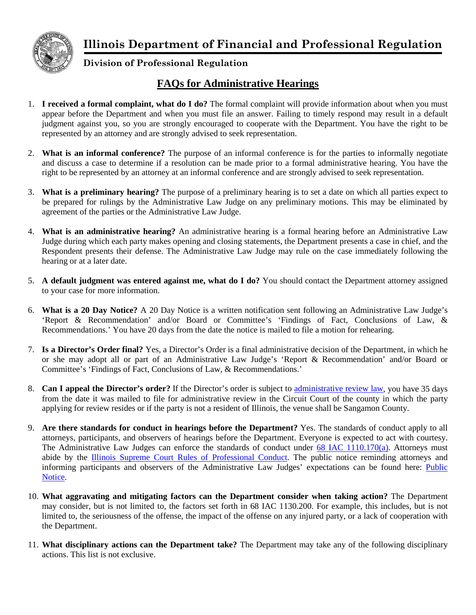



## **Division of Professional Regulation**

## **FAQs for Administrative Hearings**

- 1. **I received a formal complaint, what do I do?** The formal complaint will provide information about when you must appear before the Department and when you must file an answer. Failing to timely respond may result in a default judgment against you, so you are strongly encouraged to cooperate with the Department. You have the right to be represented by an attorney and are strongly advised to seek representation.
- 2. **What is an informal conference?** The purpose of an informal conference is for the parties to informally negotiate and discuss a case to determine if a resolution can be made prior to a formal administrative hearing. You have the right to be represented by an attorney at an informal conference and are strongly advised to seek representation.
- 3. **What is a preliminary hearing?** The purpose of a preliminary hearing is to set a date on which all parties expect to be prepared for rulings by the Administrative Law Judge on any preliminary motions. This may be eliminated by agreement of the parties or the Administrative Law Judge.
- 4. **What is an administrative hearing?** An administrative hearing is a formal hearing before an Administrative Law Judge during which each party makes opening and closing statements, the Department presents a case in chief, and the Respondent presents their defense. The Administrative Law Judge may rule on the case immediately following the hearing or at a later date.
- 5. **A default judgment was entered against me, what do I do?** You should contact the Department attorney assigned to your case for more information.
- 6. **What is a 20 Day Notice?** A 20 Day Notice is a written notification sent following an Administrative Law Judge's 'Report & Recommendation' and/or Board or Committee's 'Findings of Fact, Conclusions of Law, & Recommendations.' You have 20 days from the date the notice is mailed to file a motion for rehearing.
- 7. **Is a Director's Order final?** Yes, a Director's Order is a final administrative decision of the Department, in which he or she may adopt all or part of an Administrative Law Judge's 'Report & Recommendation' and/or Board or Committee's 'Findings of Fact, Conclusions of Law, & Recommendations.'
- 8. **Can I appeal the Director's order?** If the Director's order is subject to [administrative review law,](http://ilga.gov/legislation/ilcs/ilcs4.asp?DocName=073500050HArt.+III&ActID=2017&ChapterID=56&SeqStart=22200000&SeqEnd=23600000) you have 35 days from the date it was mailed to file for administrative review in the Circuit Court of the county in which the party applying for review resides or if the party is not a resident of Illinois, the venue shall be Sangamon County.
- 9. **Are there standards for conduct in hearings before the Department?** Yes. The standards of conduct apply to all attorneys, participants, and observers of hearings before the Department. Everyone is expected to act with courtesy. The Administrative Law Judges can enforce the standards of conduct under 68 IAC [1110.170\(a\).](http://www.ilga.gov/commission/jcar/admincode/068/068011100001700R.html) Attorneys must abide by the [Illinois Supreme Court Rules of Professional Conduct.](http://www.illinoiscourts.gov/supremecourt/rules/art_viii/default_new.asp) The public notice reminding attorneys and informing participants and observers of the Administrative Law Judges' expectations can be found here: [Public](http://www.idfpr.com/FAQ/DFPR/PublicNotice.pdf)  [Notice.](http://www.idfpr.com/FAQ/DFPR/PublicNotice.pdf)
- 10. **What aggravating and mitigating factors can the Department consider when taking action?** The Department may consider, but is not limited to, the factors set forth in 68 IAC 1130.200. For example, this includes, but is not limited to, the seriousness of the offense, the impact of the offense on any injured party, or a lack of cooperation with the Department.
- 11. **What disciplinary actions can the Department take?** The Department may take any of the following disciplinary actions. This list is not exclusive.